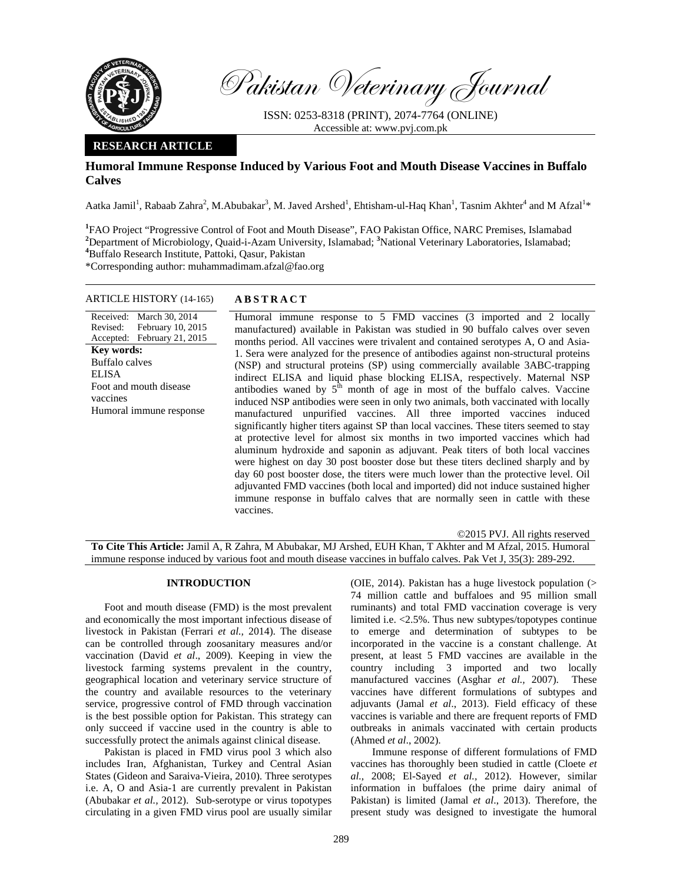

Pakistan Veterinary Journal

ISSN: 0253-8318 (PRINT), 2074-7764 (ONLINE) Accessible at: www.pvj.com.pk

## **RESEARCH ARTICLE**

# **Humoral Immune Response Induced by Various Foot and Mouth Disease Vaccines in Buffalo Calves**

Aatka Jamil<sup>1</sup>, Rabaab Zahra<sup>2</sup>, M.Abubakar<sup>3</sup>, M. Javed Arshed<sup>1</sup>, Ehtisham-ul-Haq Khan<sup>1</sup>, Tasnim Akhter<sup>4</sup> and M Afzal<sup>1\*</sup>

<sup>1</sup> FAO Project "Progressive Control of Foot and Mouth Disease", FAO Pakistan Office, NARC Premises, Islamabad <sup>2</sup><br><sup>2</sup> Department of Microbiology, Quaid i. Azam University, Islamabad: <sup>3</sup>National Veterinary Laboratories, I <sup>2</sup>Department of Microbiology, Quaid-i-Azam University, Islamabad; <sup>3</sup>National Veterinary Laboratories, Islamabad; <sup>4</sup>Puffele Research Institute, Petteki, Oscur, Pekister, Buffalo Research Institute, Pattoki, Qasur, Pakistan

\*Corresponding author: muhammadimam.afzal@fao.org

## ARTICLE HISTORY (14-165) **ABSTRACT**

Received: March 30, 2014 Revised: Accepted: February 10, 2015 February 21, 2015 **Key words:**  Buffalo calves ELISA Foot and mouth disease vaccines Humoral immune response

 Humoral immune response to 5 FMD vaccines (3 imported and 2 locally manufactured) available in Pakistan was studied in 90 buffalo calves over seven months period. All vaccines were trivalent and contained serotypes A, O and Asia-1. Sera were analyzed for the presence of antibodies against non-structural proteins (NSP) and structural proteins (SP) using commercially available 3ABC-trapping indirect ELISA and liquid phase blocking ELISA, respectively. Maternal NSP antibodies waned by  $5<sup>th</sup>$  month of age in most of the buffalo calves. Vaccine induced NSP antibodies were seen in only two animals, both vaccinated with locally manufactured unpurified vaccines. All three imported vaccines induced significantly higher titers against SP than local vaccines. These titers seemed to stay at protective level for almost six months in two imported vaccines which had aluminum hydroxide and saponin as adjuvant. Peak titers of both local vaccines were highest on day 30 post booster dose but these titers declined sharply and by day 60 post booster dose, the titers were much lower than the protective level. Oil adjuvanted FMD vaccines (both local and imported) did not induce sustained higher immune response in buffalo calves that are normally seen in cattle with these vaccines.

# ©2015 PVJ. All rights reserved **To Cite This Article:** Jamil A, R Zahra, M Abubakar, MJ Arshed, EUH Khan, T Akhter and M Afzal, 2015. Humoral immune response induced by various foot and mouth disease vaccines in buffalo calves. Pak Vet J, 35(3): 289-292.

#### **INTRODUCTION**

Foot and mouth disease (FMD) is the most prevalent and economically the most important infectious disease of livestock in Pakistan (Ferrari *et al.,* 2014). The disease can be controlled through zoosanitary measures and/or vaccination (David *et al*., 2009). Keeping in view the livestock farming systems prevalent in the country, geographical location and veterinary service structure of the country and available resources to the veterinary service, progressive control of FMD through vaccination is the best possible option for Pakistan. This strategy can only succeed if vaccine used in the country is able to successfully protect the animals against clinical disease.

Pakistan is placed in FMD virus pool 3 which also includes Iran, Afghanistan, Turkey and Central Asian States (Gideon and Saraiva-Vieira, 2010). Three serotypes i.e. A, O and Asia-1 are currently prevalent in Pakistan (Abubakar *et al.,* 2012). Sub-serotype or virus topotypes circulating in a given FMD virus pool are usually similar

(OIE, 2014). Pakistan has a huge livestock population (> 74 million cattle and buffaloes and 95 million small ruminants) and total FMD vaccination coverage is very limited i.e. <2.5%. Thus new subtypes/topotypes continue to emerge and determination of subtypes to be incorporated in the vaccine is a constant challenge. At present, at least 5 FMD vaccines are available in the country including 3 imported and two locally manufactured vaccines (Asghar *et al.,* 2007). These vaccines have different formulations of subtypes and adjuvants (Jamal *et al*., 2013). Field efficacy of these vaccines is variable and there are frequent reports of FMD outbreaks in animals vaccinated with certain products (Ahmed *et al*., 2002).

 Immune response of different formulations of FMD vaccines has thoroughly been studied in cattle (Cloete *et al.,* 2008; El-Sayed *et al.,* 2012). However, similar information in buffaloes (the prime dairy animal of Pakistan) is limited (Jamal *et al*., 2013). Therefore, the present study was designed to investigate the humoral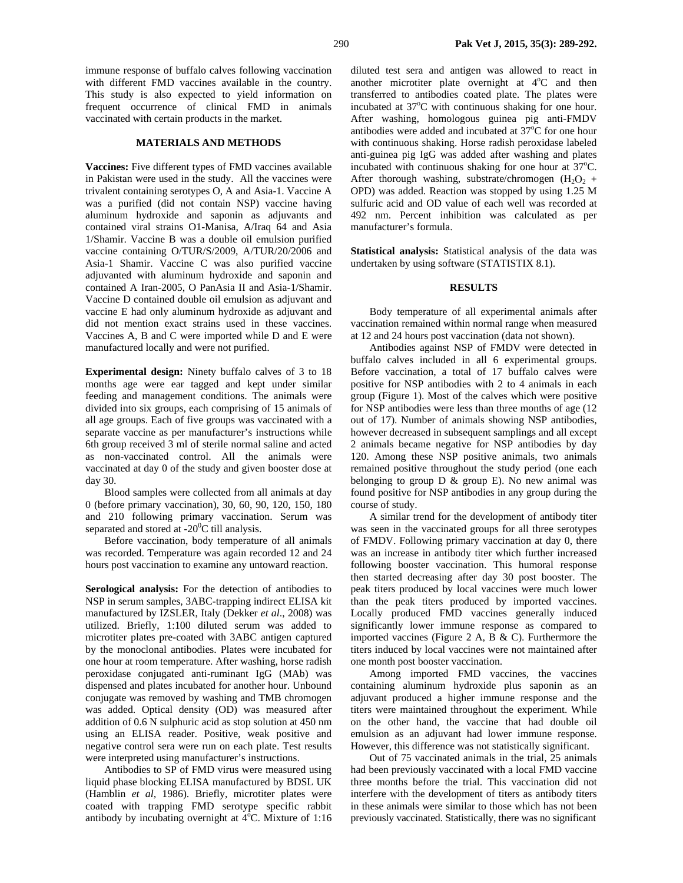immune response of buffalo calves following vaccination with different FMD vaccines available in the country. This study is also expected to yield information on frequent occurrence of clinical FMD in animals vaccinated with certain products in the market.

#### **MATERIALS AND METHODS**

**Vaccines:** Five different types of FMD vaccines available in Pakistan were used in the study. All the vaccines were trivalent containing serotypes O, A and Asia-1. Vaccine A was a purified (did not contain NSP) vaccine having aluminum hydroxide and saponin as adjuvants and contained viral strains O1-Manisa, A/Iraq 64 and Asia 1/Shamir. Vaccine B was a double oil emulsion purified vaccine containing O/TUR/S/2009, A/TUR/20/2006 and Asia-1 Shamir. Vaccine C was also purified vaccine adjuvanted with aluminum hydroxide and saponin and contained A Iran-2005, O PanAsia II and Asia-1/Shamir. Vaccine D contained double oil emulsion as adjuvant and vaccine E had only aluminum hydroxide as adjuvant and did not mention exact strains used in these vaccines. Vaccines A, B and C were imported while D and E were manufactured locally and were not purified.

**Experimental design:** Ninety buffalo calves of 3 to 18 months age were ear tagged and kept under similar feeding and management conditions. The animals were divided into six groups, each comprising of 15 animals of all age groups. Each of five groups was vaccinated with a separate vaccine as per manufacturer's instructions while 6th group received 3 ml of sterile normal saline and acted as non-vaccinated control. All the animals were vaccinated at day 0 of the study and given booster dose at day 30.

Blood samples were collected from all animals at day 0 (before primary vaccination), 30, 60, 90, 120, 150, 180 and 210 following primary vaccination. Serum was separated and stored at -20 $\mathrm{^0C}$  till analysis.

Before vaccination, body temperature of all animals was recorded. Temperature was again recorded 12 and 24 hours post vaccination to examine any untoward reaction.

**Serological analysis:** For the detection of antibodies to NSP in serum samples, 3ABC-trapping indirect ELISA kit manufactured by IZSLER, Italy (Dekker *et al*., 2008) was utilized. Briefly, 1:100 diluted serum was added to microtiter plates pre-coated with 3ABC antigen captured by the monoclonal antibodies. Plates were incubated for one hour at room temperature. After washing, horse radish peroxidase conjugated anti-ruminant IgG (MAb) was dispensed and plates incubated for another hour. Unbound conjugate was removed by washing and TMB chromogen was added. Optical density (OD) was measured after addition of 0.6 N sulphuric acid as stop solution at 450 nm using an ELISA reader. Positive, weak positive and negative control sera were run on each plate. Test results were interpreted using manufacturer's instructions.

Antibodies to SP of FMD virus were measured using liquid phase blocking ELISA manufactured by BDSL UK (Hamblin *et al,* 1986). Briefly, microtiter plates were coated with trapping FMD serotype specific rabbit antibody by incubating overnight at  $4^{\circ}$ C. Mixture of 1:16 diluted test sera and antigen was allowed to react in another microtiter plate overnight at  $4^{\circ}$ C and then transferred to antibodies coated plate. The plates were incubated at 37°C with continuous shaking for one hour. After washing, homologous guinea pig anti-FMDV antibodies were added and incubated at  $37^{\circ}$ C for one hour with continuous shaking. Horse radish peroxidase labeled anti-guinea pig IgG was added after washing and plates incubated with continuous shaking for one hour at  $37^{\circ}$ C. After thorough washing, substrate/chromogen  $(H_2O_2 +$ OPD) was added. Reaction was stopped by using 1.25 M sulfuric acid and OD value of each well was recorded at 492 nm. Percent inhibition was calculated as per manufacturer's formula.

**Statistical analysis:** Statistical analysis of the data was undertaken by using software (STATISTIX 8.1).

#### **RESULTS**

Body temperature of all experimental animals after vaccination remained within normal range when measured at 12 and 24 hours post vaccination (data not shown).

Antibodies against NSP of FMDV were detected in buffalo calves included in all 6 experimental groups. Before vaccination, a total of 17 buffalo calves were positive for NSP antibodies with 2 to 4 animals in each group (Figure 1). Most of the calves which were positive for NSP antibodies were less than three months of age (12 out of 17). Number of animals showing NSP antibodies, however decreased in subsequent samplings and all except 2 animals became negative for NSP antibodies by day 120. Among these NSP positive animals, two animals remained positive throughout the study period (one each belonging to group  $D \&$  group  $E$ ). No new animal was found positive for NSP antibodies in any group during the course of study.

A similar trend for the development of antibody titer was seen in the vaccinated groups for all three serotypes of FMDV. Following primary vaccination at day 0, there was an increase in antibody titer which further increased following booster vaccination. This humoral response then started decreasing after day 30 post booster. The peak titers produced by local vaccines were much lower than the peak titers produced by imported vaccines. Locally produced FMD vaccines generally induced significantly lower immune response as compared to imported vaccines (Figure 2 A, B & C). Furthermore the titers induced by local vaccines were not maintained after one month post booster vaccination.

Among imported FMD vaccines, the vaccines containing aluminum hydroxide plus saponin as an adjuvant produced a higher immune response and the titers were maintained throughout the experiment. While on the other hand, the vaccine that had double oil emulsion as an adjuvant had lower immune response. However, this difference was not statistically significant.

Out of 75 vaccinated animals in the trial, 25 animals had been previously vaccinated with a local FMD vaccine three months before the trial. This vaccination did not interfere with the development of titers as antibody titers in these animals were similar to those which has not been previously vaccinated. Statistically, there was no significant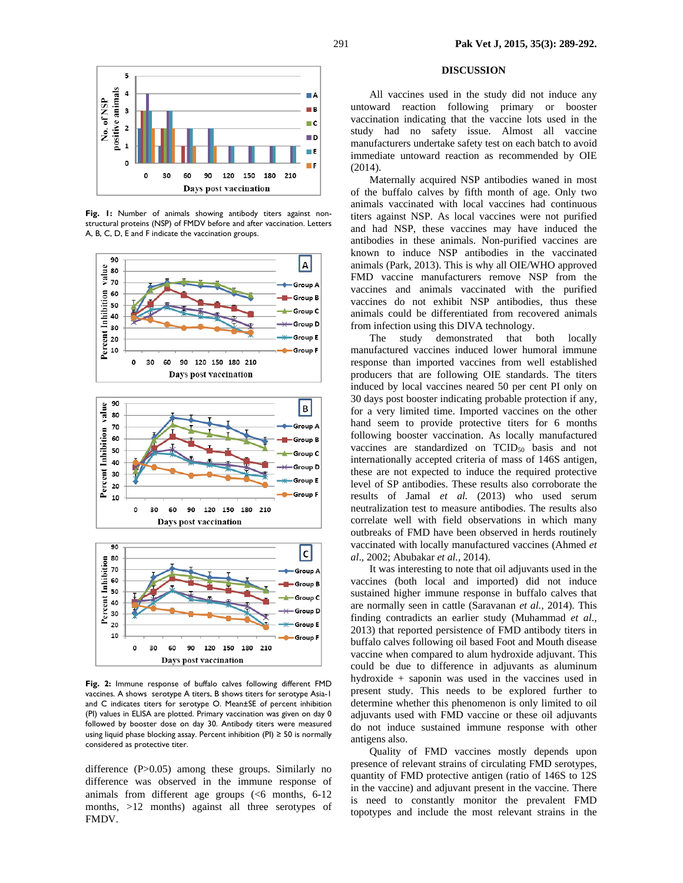

**Fig. 1:** Number of animals showing antibody titers against nonstructural proteins (NSP) of FMDV before and after vaccination. Letters A, B, C, D, E and F indicate the vaccination groups.



**Fig. 2:** Immune response of buffalo calves following different FMD vaccines. A shows serotype A titers, B shows titers for serotype Asia-1 and C indicates titers for serotype O. Mean±SE of percent inhibition (PI) values in ELISA are plotted. Primary vaccination was given on day 0 followed by booster dose on day 30. Antibody titers were measured using liquid phase blocking assay. Percent inhibition (PI)  $\geq$  50 is normally considered as protective titer.

difference (P>0.05) among these groups. Similarly no difference was observed in the immune response of animals from different age groups (<6 months, 6-12 months, >12 months) against all three serotypes of FMDV.

#### **DISCUSSION**

All vaccines used in the study did not induce any untoward reaction following primary or booster vaccination indicating that the vaccine lots used in the study had no safety issue. Almost all vaccine manufacturers undertake safety test on each batch to avoid immediate untoward reaction as recommended by OIE (2014).

Maternally acquired NSP antibodies waned in most of the buffalo calves by fifth month of age. Only two animals vaccinated with local vaccines had continuous titers against NSP. As local vaccines were not purified and had NSP, these vaccines may have induced the antibodies in these animals. Non-purified vaccines are known to induce NSP antibodies in the vaccinated animals (Park, 2013). This is why all OIE/WHO approved FMD vaccine manufacturers remove NSP from the vaccines and animals vaccinated with the purified vaccines do not exhibit NSP antibodies, thus these animals could be differentiated from recovered animals from infection using this DIVA technology.

The study demonstrated that both locally manufactured vaccines induced lower humoral immune response than imported vaccines from well established producers that are following OIE standards. The titers induced by local vaccines neared 50 per cent PI only on 30 days post booster indicating probable protection if any, for a very limited time. Imported vaccines on the other hand seem to provide protective titers for 6 months following booster vaccination. As locally manufactured vaccines are standardized on  $TCID_{50}$  basis and not internationally accepted criteria of mass of 146S antigen, these are not expected to induce the required protective level of SP antibodies. These results also corroborate the results of Jamal *et al.* (2013) who used serum neutralization test to measure antibodies. The results also correlate well with field observations in which many outbreaks of FMD have been observed in herds routinely vaccinated with locally manufactured vaccines (Ahmed *et al*., 2002; Abubakar *et al.,* 2014).

It was interesting to note that oil adjuvants used in the vaccines (both local and imported) did not induce sustained higher immune response in buffalo calves that are normally seen in cattle (Saravanan *et al.,* 2014). This finding contradicts an earlier study (Muhammad *et al*., 2013) that reported persistence of FMD antibody titers in buffalo calves following oil based Foot and Mouth disease vaccine when compared to alum hydroxide adjuvant. This could be due to difference in adjuvants as aluminum hydroxide + saponin was used in the vaccines used in present study. This needs to be explored further to determine whether this phenomenon is only limited to oil adjuvants used with FMD vaccine or these oil adjuvants do not induce sustained immune response with other antigens also.

Quality of FMD vaccines mostly depends upon presence of relevant strains of circulating FMD serotypes, quantity of FMD protective antigen (ratio of 146S to 12S in the vaccine) and adjuvant present in the vaccine. There is need to constantly monitor the prevalent FMD topotypes and include the most relevant strains in the